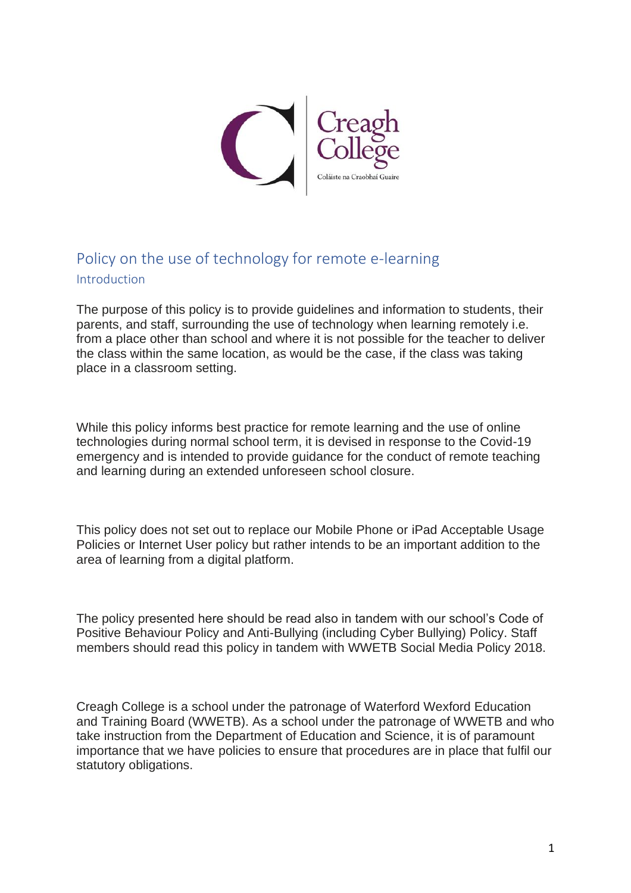

## Policy on the use of technology for remote e-learning Introduction

The purpose of this policy is to provide guidelines and information to students, their parents, and staff, surrounding the use of technology when learning remotely i.e. from a place other than school and where it is not possible for the teacher to deliver the class within the same location, as would be the case, if the class was taking place in a classroom setting.

While this policy informs best practice for remote learning and the use of online technologies during normal school term, it is devised in response to the Covid-19 emergency and is intended to provide guidance for the conduct of remote teaching and learning during an extended unforeseen school closure.

This policy does not set out to replace our Mobile Phone or iPad Acceptable Usage Policies or Internet User policy but rather intends to be an important addition to the area of learning from a digital platform.

The policy presented here should be read also in tandem with our school's Code of Positive Behaviour Policy and Anti-Bullying (including Cyber Bullying) Policy. Staff members should read this policy in tandem with WWETB Social Media Policy 2018.

Creagh College is a school under the patronage of Waterford Wexford Education and Training Board (WWETB). As a school under the patronage of WWETB and who take instruction from the Department of Education and Science, it is of paramount importance that we have policies to ensure that procedures are in place that fulfil our statutory obligations.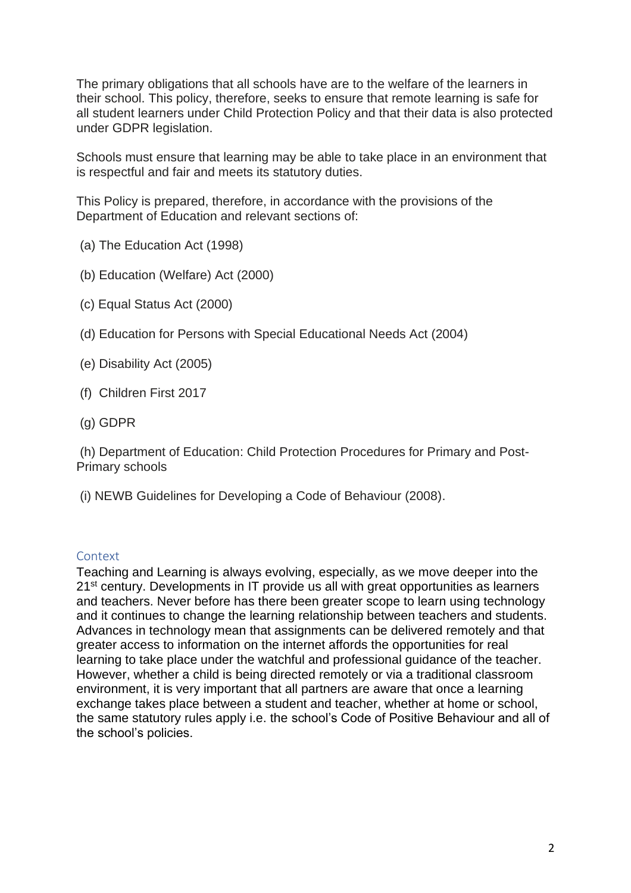The primary obligations that all schools have are to the welfare of the learners in their school. This policy, therefore, seeks to ensure that remote learning is safe for all student learners under Child Protection Policy and that their data is also protected under GDPR legislation.

Schools must ensure that learning may be able to take place in an environment that is respectful and fair and meets its statutory duties.

This Policy is prepared, therefore, in accordance with the provisions of the Department of Education and relevant sections of:

- (a) The Education Act (1998)
- (b) Education (Welfare) Act (2000)
- (c) Equal Status Act (2000)
- (d) Education for Persons with Special Educational Needs Act (2004)
- (e) Disability Act (2005)
- (f) Children First 2017
- (g) GDPR

(h) Department of Education: Child Protection Procedures for Primary and Post-Primary schools

(i) NEWB Guidelines for Developing a Code of Behaviour (2008).

## **Context**

Teaching and Learning is always evolving, especially, as we move deeper into the 21<sup>st</sup> century. Developments in IT provide us all with great opportunities as learners and teachers. Never before has there been greater scope to learn using technology and it continues to change the learning relationship between teachers and students. Advances in technology mean that assignments can be delivered remotely and that greater access to information on the internet affords the opportunities for real learning to take place under the watchful and professional guidance of the teacher. However, whether a child is being directed remotely or via a traditional classroom environment, it is very important that all partners are aware that once a learning exchange takes place between a student and teacher, whether at home or school, the same statutory rules apply i.e. the school's Code of Positive Behaviour and all of the school's policies.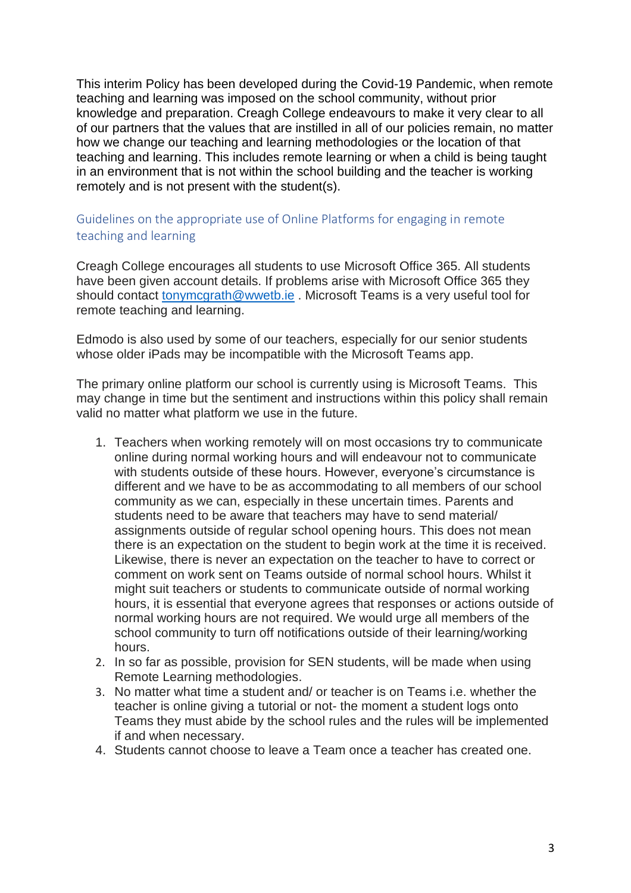This interim Policy has been developed during the Covid-19 Pandemic, when remote teaching and learning was imposed on the school community, without prior knowledge and preparation. Creagh College endeavours to make it very clear to all of our partners that the values that are instilled in all of our policies remain, no matter how we change our teaching and learning methodologies or the location of that teaching and learning. This includes remote learning or when a child is being taught in an environment that is not within the school building and the teacher is working remotely and is not present with the student(s).

## Guidelines on the appropriate use of Online Platforms for engaging in remote teaching and learning

Creagh College encourages all students to use Microsoft Office 365. All students have been given account details. If problems arise with Microsoft Office 365 they should contact [tonymcgrath@wwetb.ie](mailto:tonymcgrath@wwetb.ie) . Microsoft Teams is a very useful tool for remote teaching and learning.

Edmodo is also used by some of our teachers, especially for our senior students whose older iPads may be incompatible with the Microsoft Teams app.

The primary online platform our school is currently using is Microsoft Teams. This may change in time but the sentiment and instructions within this policy shall remain valid no matter what platform we use in the future.

- 1. Teachers when working remotely will on most occasions try to communicate online during normal working hours and will endeavour not to communicate with students outside of these hours. However, everyone's circumstance is different and we have to be as accommodating to all members of our school community as we can, especially in these uncertain times. Parents and students need to be aware that teachers may have to send material/ assignments outside of regular school opening hours. This does not mean there is an expectation on the student to begin work at the time it is received. Likewise, there is never an expectation on the teacher to have to correct or comment on work sent on Teams outside of normal school hours. Whilst it might suit teachers or students to communicate outside of normal working hours, it is essential that everyone agrees that responses or actions outside of normal working hours are not required. We would urge all members of the school community to turn off notifications outside of their learning/working hours.
- 2. In so far as possible, provision for SEN students, will be made when using Remote Learning methodologies.
- 3. No matter what time a student and/ or teacher is on Teams i.e. whether the teacher is online giving a tutorial or not- the moment a student logs onto Teams they must abide by the school rules and the rules will be implemented if and when necessary.
- 4. Students cannot choose to leave a Team once a teacher has created one.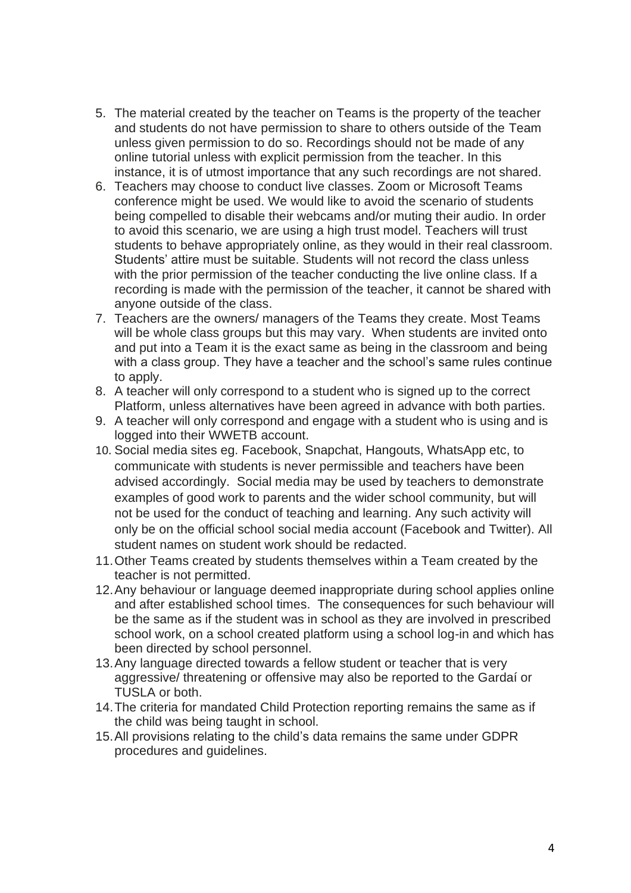- 5. The material created by the teacher on Teams is the property of the teacher and students do not have permission to share to others outside of the Team unless given permission to do so. Recordings should not be made of any online tutorial unless with explicit permission from the teacher. In this instance, it is of utmost importance that any such recordings are not shared.
- 6. Teachers may choose to conduct live classes. Zoom or Microsoft Teams conference might be used. We would like to avoid the scenario of students being compelled to disable their webcams and/or muting their audio. In order to avoid this scenario, we are using a high trust model. Teachers will trust students to behave appropriately online, as they would in their real classroom. Students' attire must be suitable. Students will not record the class unless with the prior permission of the teacher conducting the live online class. If a recording is made with the permission of the teacher, it cannot be shared with anyone outside of the class.
- 7. Teachers are the owners/ managers of the Teams they create. Most Teams will be whole class groups but this may vary. When students are invited onto and put into a Team it is the exact same as being in the classroom and being with a class group. They have a teacher and the school's same rules continue to apply.
- 8. A teacher will only correspond to a student who is signed up to the correct Platform, unless alternatives have been agreed in advance with both parties.
- 9. A teacher will only correspond and engage with a student who is using and is logged into their WWETB account.
- 10. Social media sites eg. Facebook, Snapchat, Hangouts, WhatsApp etc, to communicate with students is never permissible and teachers have been advised accordingly. Social media may be used by teachers to demonstrate examples of good work to parents and the wider school community, but will not be used for the conduct of teaching and learning. Any such activity will only be on the official school social media account (Facebook and Twitter). All student names on student work should be redacted.
- 11.Other Teams created by students themselves within a Team created by the teacher is not permitted.
- 12.Any behaviour or language deemed inappropriate during school applies online and after established school times. The consequences for such behaviour will be the same as if the student was in school as they are involved in prescribed school work, on a school created platform using a school log-in and which has been directed by school personnel.
- 13.Any language directed towards a fellow student or teacher that is very aggressive/ threatening or offensive may also be reported to the Gardaí or TUSLA or both.
- 14.The criteria for mandated Child Protection reporting remains the same as if the child was being taught in school.
- 15.All provisions relating to the child's data remains the same under GDPR procedures and guidelines.